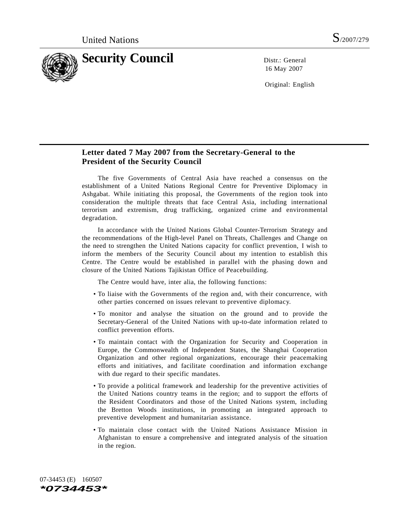

16 May 2007

Original: English

## **Letter dated 7 May 2007 from the Secretary-General to the President of the Security Council**

The five Governments of Central Asia have reached a consensus on the establishment of a United Nations Regional Centre for Preventive Diplomacy in Ashgabat. While initiating this proposal, the Governments of the region took into consideration the multiple threats that face Central Asia, including international terrorism and extremism, drug trafficking, organized crime and environmental degradation.

In accordance with the United Nations Global Counter-Terrorism Strategy and the recommendations of the High-level Panel on Threats, Challenges and Change on the need to strengthen the United Nations capacity for conflict prevention, I wish to inform the members of the Security Council about my intention to establish this Centre. The Centre would be established in parallel with the phasing down and closure of the United Nations Tajikistan Office of Peacebuilding.

The Centre would have, inter alia, the following functions:

- To liaise with the Governments of the region and, with their concurrence, with other parties concerned on issues relevant to preventive diplomacy.
- To monitor and analyse the situation on the ground and to provide the Secretary-General of the United Nations with up-to-date information related to conflict prevention efforts.
- To maintain contact with the Organization for Security and Cooperation in Europe, the Commonwealth of Independent States, the Shanghai Cooperation Organization and other regional organizations, encourage their peacemaking efforts and initiatives, and facilitate coordination and information exchange with due regard to their specific mandates.
- To provide a political framework and leadership for the preventive activities of the United Nations country teams in the region; and to support the efforts of the Resident Coordinators and those of the United Nations system, including the Bretton Woods institutions, in promoting an integrated approach to preventive development and humanitarian assistance.
- To maintain close contact with the United Nations Assistance Mission in Afghanistan to ensure a comprehensive and integrated analysis of the situation in the region.